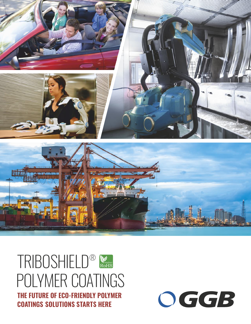

## TRIBOSHIELD® POLYMER COATINGS **THE FUTURE OF ECO-FRIENDLY POLYMER COATINGS SOLUTIONS STARTS HERE**

OGGB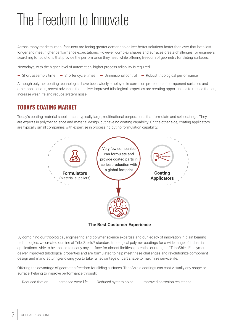## The Freedom to Innovate

Across many markets, manufacturers are facing greater demand to deliver better solutions faster than ever that both last longer and meet higher performance expectations. However, complex shapes and surfaces create challenges for engineers searching for solutions that provide the performance they need while offering freedom of geometry for sliding surfaces.

Nowadays, with the higher level of automation, higher process reliability is required.

**—** Short assembly time **—** Shorter cycle times **—** Dimensional control **—** Robust tribological performance

Although polymer coating technologies have been widely employed in corrosion protection of component surfaces and other applications, recent advances that deliver improved tribological properties are creating opportunities to reduce friction, increase wear life and reduce system noise.

## **TODAYS COATING MARKET**

Today´s coating material suppliers are typically large, multinational corporations that formulate and sell coatings. They are experts in polymer science and material design, but have no coating capability. On the other side, coating applicators are typically small companies with expertise in processing but no formulation capability.



**The Best Customer Experience**

By combining our tribological, engineering and polymer science expertise and our legacy of innovation in plain bearing technologies, we created our line of TriboShield® standard tribological polymer coatings for a wide range of industrial applications. Able to be applied to nearly any surface for almost limitless potential, our range of TriboShield® polymers deliver improved tribological properties and are formulated to help meet these challenges and revolutionize component design and manufacturing-allowing you to take full advantage of part shape to maximize service life.

Offering the advantage of geometric freedom for sliding surfaces, TriboShield coatings can coat virtually any shape or surface; helping to improve performance through:

**—** Reduced friction **—** Increased wear life **—** Reduced system noise **—** Improved corrosion resistance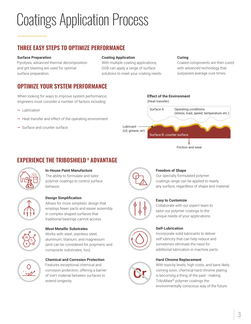# Coatings Application Process

## **THREE EASY STEPS TO OPTIMIZE PERFORMANCE**

#### **Surface Preparation**

Pyrolysis, advanced thermal decomposition and grit blasting are used for optimal surface preparation.

#### **Coating Application**

With multiple coating applications, GGB can apply a range of surface solutions to meet your coating needs.

#### **Curing**

Coated components are then cured with advanced technology that surpasses average cure times.

## **OPTIMIZE YOUR SYSTEM PERFORMANCE**

When looking for ways to improve system performance, engineers must consider a number of factors including:

- **—** Lubrication
- **—** Heat transfer and effect of the operating environment
- **—** Surface and counter surface

### **Effect of the Environment** (Heat transfer) Surface A Operating conditions (stress, load, speed, temperature etc.) Lubricant (oil, grease, air) Surface B: counter surface

Friction and wear

## **® EXPERIENCE THE TRIBOSHIELD ADVANTAGE**



#### **In-House Paint Manufacture**

The ability to formulate and tailor polymer coatings to control surface behavior.



#### **Design Simplification**

Allows for more simplistic design that employs fewer parts and easier assembly in complex-shaped surfaces that traditional bearings cannot access.



#### **Most Metallic Substrates**

Works with steel, stainless steel, aluminum, titanium, and magnesium (and can be considered for polymeric and composite substrates, too).



#### **Chemical and Corrosion Protection**

Features exceptional chemical and corrosion protection, offering a barrier of inert material between surfaces to extend longevity.



#### **Freedom of Shape**

Our specially formulated polymer coatings range can be applied to nearly any surface, regardless of shape and material.



#### **Easy to Customize**

Collaborate with our expert team to tailor our polymer coatings to the unique needs of your applications.

#### **Self-Lubrication**



Cr

Incorporate solid lubricants to deliver self lubricity that can help reduce and sometimes eliminate the need for additional lubrication in machine parts.

#### **Hard Chrome Replacement**

With toxicity levels, high costs, and bans likely coming soon, chemical hard chrome plating is becoming a thing of the past - making TriboMate® polymer coatings the environmentally conscious way of the future.



3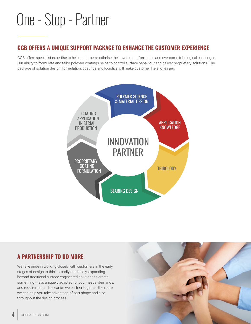## One - Stop - Partner

## **GGB OFFERS A UNIQUE SUPPORT PACKAGE TO ENHANCE THE CUSTOMER EXPERIENCE**

GGB offers specialist expertise to help customers optimise their system performance and overcome tribological challenges. Our ability to formulate and tailor polymer coatings helps to control surface behaviour and deliver proprietary solutions. The package of solution design, formulation, coatings and logistics will make customer life a lot easier.



## **A PARTNERSHIP TO DO MORE**

We take pride in working closely with customers in the early stages of design to think broadly and boldly, expanding beyond traditional surface engineered solutions to create something that's uniquely adapted for your needs, demands, and requirements. The earlier we partner together, the more we can help you take advantage of part shape and size throughout the design process.

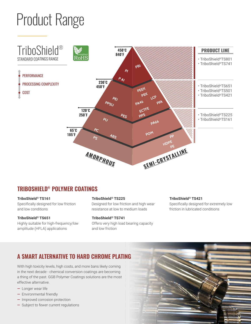# Product Range



## **® [TRIBOSHIELD POLYMER COATINGS](https://www.ggbearings.com/en/our-products/polymer-coatings/triboshield-low-friction-coatings?utm_campaign=TriboShield-Polymer-Coatings&utm_medium=Digital&utm_source=Brochure&utm_content=TriboShield-Coatings&utm_term=Polymer-Coatings-webpage)**

**® [TriboShield](https://www.ggbearings.com/en/our-products/polymer-coatings/triboshield-ts161?utm_campaign=TriboShield-Polymer-Coatings&utm_medium=Digital&utm_source=Brochure&utm_content=TriboShield-Coatings&utm_term=TriboShield_TS161) TS161** Specifically designed for low friction and low conditions

**® [TriboShield](https://www.ggbearings.com/en/our-products/polymer-coatings/triboshield-ts651?utm_campaign=TriboShield-Polymer-Coatings&utm_medium=Digital&utm_source=Brochure&utm_content=TriboShield-Coatings&utm_term=TriboShield_TS651) TS651** Highly suitable for high-frequency/low amplitude (HFLA) applications

**® [TriboShield](https://www.ggbearings.com/en/our-products/polymer-coatings/triboshield-ts225?utm_campaign=TriboShield-Polymer-Coatings&utm_medium=Digital&utm_source=Brochure&utm_content=TriboShield-Coatings&utm_term=TriboShield_TS225) TS225**

Designed for low friction and high wear resistance at low to medium loads

**® [TriboShield](https://www.ggbearings.com/en/our-products/polymer-coatings/triboshield-ts741?utm_campaign=TriboShield-Polymer-Coatings&utm_medium=Digital&utm_source=Brochure&utm_content=TriboShield-Coatings&utm_term=TriboShield_TS741) TS741** Offers very high load bearing capacity and low friction

#### **® [TriboShield](https://www.ggbearings.com/en/our-products/polymer-coatings/triboshield-ts421?utm_campaign=TriboShield-Polymer-Coatings&utm_medium=Digital&utm_source=Brochure&utm_content=TriboShield-Coatings&utm_term=TriboShield_TS421) TS421**

Specifically designed for extremely low friction in lubricated conditions

## **A SMART ALTERNATIVE TO HARD CHROME PLATING**

With high toxicity levels, high costs, and more bans likely coming in the next decade - chemical conversion coatings are becoming a thing of the past. GGB Polymer Coatings solutions are the most effective alternative.

- **—** Longer wear life
- **—** Environmental friendly
- **—** Improved corrosion protection
- **—** Subject to fewer current regulations

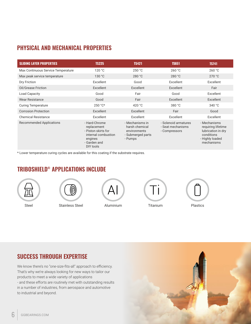## **PHYSICAL AND MECHANICAL PROPERTIES**

| <b>SLIDING LAYER PROPERTIES</b>    | <b>TS225</b>                                                                                                       | <b>TS421</b>                                                                      | <b>TS651</b>                                               | <b>TS741</b>                                                                                            |
|------------------------------------|--------------------------------------------------------------------------------------------------------------------|-----------------------------------------------------------------------------------|------------------------------------------------------------|---------------------------------------------------------------------------------------------------------|
| Max Continuous Service Temperature | 120 °C                                                                                                             | 250 °C                                                                            | 260 °C                                                     | 260 °C                                                                                                  |
| Max peak service temperature       | 130 °C                                                                                                             | 280 °C                                                                            | 280 °C                                                     | 270 °C                                                                                                  |
| Dry Friction                       | Excellent                                                                                                          | Good                                                                              | Excellent                                                  | Excellent                                                                                               |
| Oil/Grease Friction                | Excellent                                                                                                          | Excellent                                                                         | Excellent                                                  | Fair                                                                                                    |
| Load Capacity                      | Good                                                                                                               | Fair                                                                              | Good                                                       | Excellent                                                                                               |
| <b>Wear Resistance</b>             | Good                                                                                                               | Fair                                                                              | Excellent                                                  | Excellent                                                                                               |
| <b>Curing Temperature</b>          | $250 °C*$                                                                                                          | 420 $^{\circ}$ C                                                                  | 380 °C                                                     | 340 °C                                                                                                  |
| <b>Corrosion Protection</b>        | Excellent                                                                                                          | Excellent                                                                         | Fair                                                       | Good                                                                                                    |
| <b>Chemical Resistance</b>         | Excellent                                                                                                          | Excellent                                                                         | Excellent                                                  | Excellent                                                                                               |
| <b>Recommended Applications</b>    | - Hard-Chrome<br>replacement<br>- Piston skirts for<br>internal combustion<br>engines<br>- Garden and<br>DIY tools | - Mechanisms in<br>harsh chemical<br>environments<br>- Submerged parts<br>- Pumps | - Solenoid armatures<br>- Seat mechanisms<br>- Compressors | - Mechanisms<br>requiring lifetime<br>lubrication in dry<br>conditions<br>- Highly loaded<br>mechanisms |

\* Lower temperature curing cycles are available for this coating if the substrate requires.

## **® TRIBOSHIELD APPLICATIONS INCLUDE**



## **SUCCESS THROUGH EXPERTISE**

We know there's no "one-size-fits-all" approach to efficiency. That's why we're always looking for new ways to tailor our products to meet a wide variety of applications - and these efforts are routinely met with outstanding results in a number of industries, from aerospace and automotive to industrial and beyond.

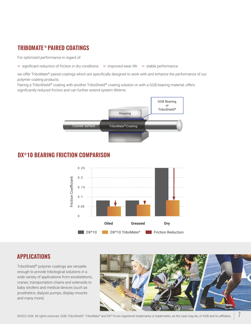## **® [TRIBOMATE PAIRED COATINGS](https://www.ggbearings.com/en/our-products/polymer-coatings/tribomate-paired-coatings-solutions?utm_campaign=TriboShield-Polymer-Coatings&utm_medium=Digital&utm_source=Brochure&utm_content=TriboShield-Coatings&utm_term=TriboMate-webpage)**

For optimized performance in regard of

**—** significant reduction of friction in dry conditions **—** improved wear life **—** stable performance

we offer TriboMate® paired coatings which are specifically designed to work with and enhance the performance of our polymer coating products.

Pairing a TriboShield® coating with another TriboShield® coating solution or with a GGB bearing material, offers significantly reduced friction and can further extend system lifetime.



### **® DX 10 BEARING FRICTION COMPARISON**



### **APPLICATIONS**

TriboShield® polymer coatings are versatile enough to provide tribological solutions in a wide variety of applications from exoskeletons, cranes, transportation chains and solenoids to baby strollers and medical devices (such as prosthetics, dialysis pumps, display mounts and many more).